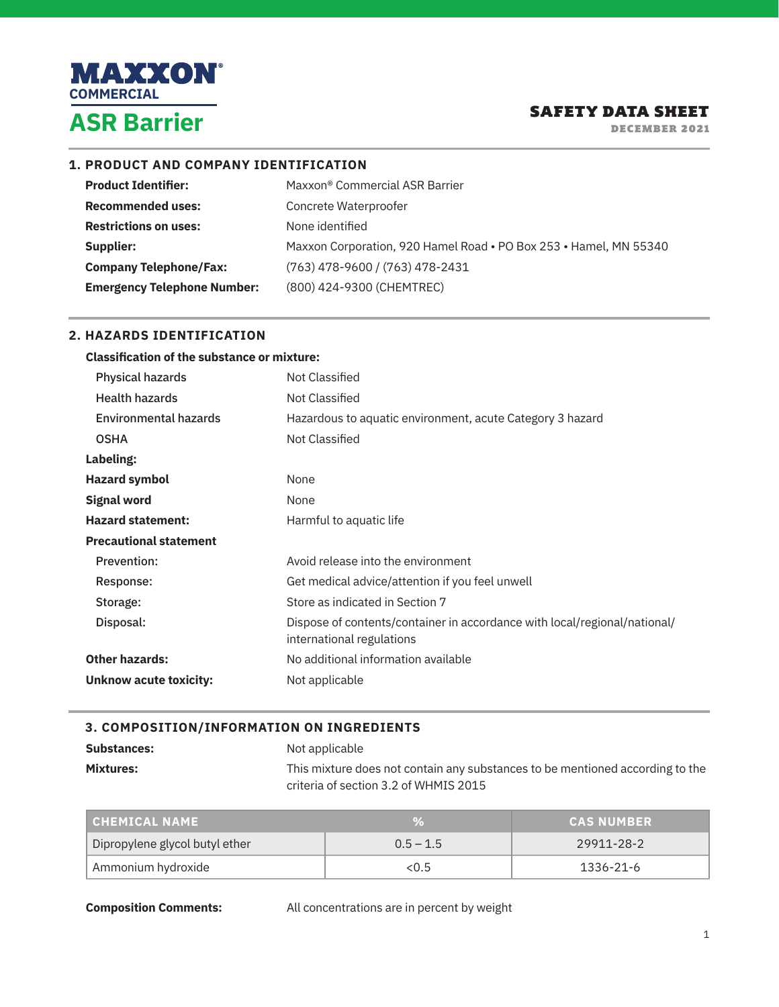

DECEMBER 2021

## **1. PRODUCT AND COMPANY IDENTIFICATION**

| <b>Product Identifier:</b>         | Maxxon <sup>®</sup> Commercial ASR Barrier                        |
|------------------------------------|-------------------------------------------------------------------|
| <b>Recommended uses:</b>           | Concrete Waterproofer                                             |
| <b>Restrictions on uses:</b>       | None identified                                                   |
| Supplier:                          | Maxxon Corporation, 920 Hamel Road • PO Box 253 • Hamel, MN 55340 |
| <b>Company Telephone/Fax:</b>      | $(763)$ 478-9600 / (763) 478-2431                                 |
| <b>Emergency Telephone Number:</b> | (800) 424-9300 (CHEMTREC)                                         |

## **2. HAZARDS IDENTIFICATION**

| <b>Classification of the substance or mixture:</b> |                                                                                                        |
|----------------------------------------------------|--------------------------------------------------------------------------------------------------------|
| Physical hazards                                   | Not Classified                                                                                         |
| <b>Health hazards</b>                              | Not Classified                                                                                         |
| <b>Environmental hazards</b>                       | Hazardous to aquatic environment, acute Category 3 hazard                                              |
| <b>OSHA</b>                                        | Not Classified                                                                                         |
| Labeling:                                          |                                                                                                        |
| <b>Hazard symbol</b>                               | None                                                                                                   |
| <b>Signal word</b>                                 | None                                                                                                   |
| <b>Hazard statement:</b>                           | Harmful to aquatic life                                                                                |
| <b>Precautional statement</b>                      |                                                                                                        |
| Prevention:                                        | Avoid release into the environment                                                                     |
| Response:                                          | Get medical advice/attention if you feel unwell                                                        |
| Storage:                                           | Store as indicated in Section 7                                                                        |
| Disposal:                                          | Dispose of contents/container in accordance with local/regional/national/<br>international regulations |
| <b>Other hazards:</b>                              | No additional information available                                                                    |
| Unknow acute toxicity:                             | Not applicable                                                                                         |

## **3. COMPOSITION/INFORMATION ON INGREDIENTS**

| <b>Substances:</b> | Not applicable                                                                |
|--------------------|-------------------------------------------------------------------------------|
| <b>Mixtures:</b>   | This mixture does not contain any substances to be mentioned according to the |
|                    | criteria of section 3.2 of WHMIS 2015                                         |

| CHEMICAL NAME                  |             | <b>CAS NUMBER</b> |
|--------------------------------|-------------|-------------------|
| Dipropylene glycol butyl ether | $0.5 - 1.5$ | 29911-28-2        |
| Ammonium hydroxide             | < 0.5       | 1336-21-6         |

**Composition Comments:** All concentrations are in percent by weight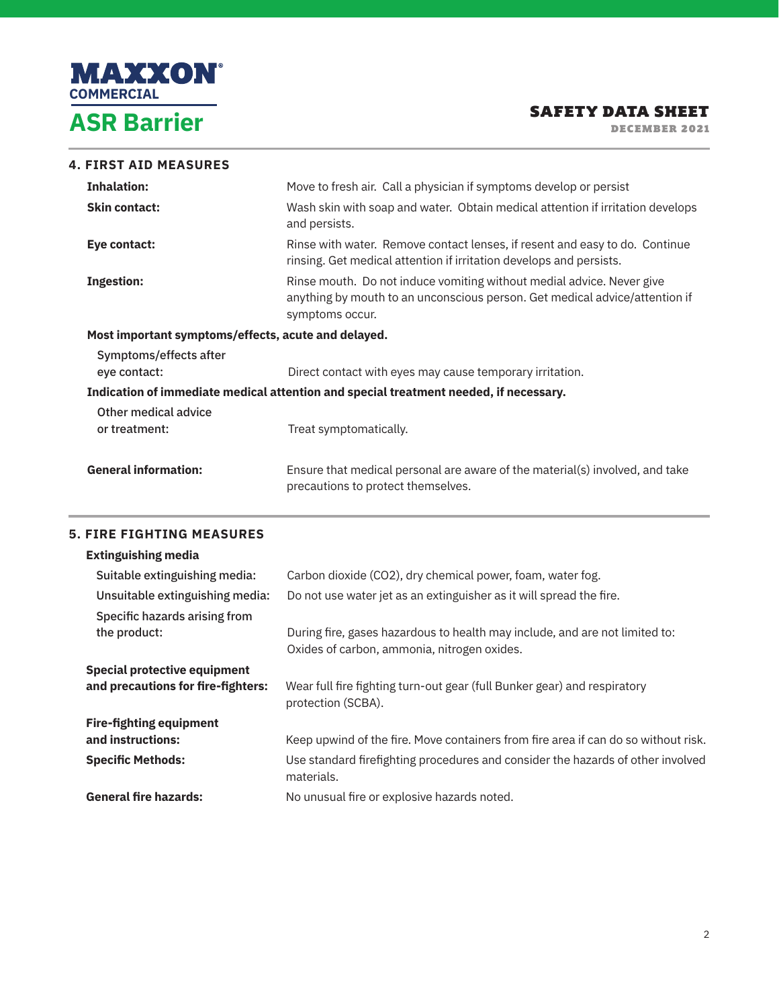

DECEMBER 2021

| <b>4. FIRST AID MEASURES</b>                        |                                                                                                                                                                         |  |
|-----------------------------------------------------|-------------------------------------------------------------------------------------------------------------------------------------------------------------------------|--|
| <b>Inhalation:</b>                                  | Move to fresh air. Call a physician if symptoms develop or persist                                                                                                      |  |
| <b>Skin contact:</b>                                | Wash skin with soap and water. Obtain medical attention if irritation develops<br>and persists.                                                                         |  |
| Eye contact:                                        | Rinse with water. Remove contact lenses, if resent and easy to do. Continue<br>rinsing. Get medical attention if irritation develops and persists.                      |  |
| <b>Ingestion:</b>                                   | Rinse mouth. Do not induce vomiting without medial advice. Never give<br>anything by mouth to an unconscious person. Get medical advice/attention if<br>symptoms occur. |  |
| Most important symptoms/effects, acute and delayed. |                                                                                                                                                                         |  |
| Symptoms/effects after                              |                                                                                                                                                                         |  |
| eye contact:                                        | Direct contact with eyes may cause temporary irritation.                                                                                                                |  |
|                                                     | Indication of immediate medical attention and special treatment needed, if necessary.                                                                                   |  |
| Other medical advice<br>or treatment:               | Treat symptomatically.                                                                                                                                                  |  |
| <b>General information:</b>                         | Ensure that medical personal are aware of the material(s) involved, and take<br>precautions to protect themselves.                                                      |  |

## **5. FIRE FIGHTING MEASURES**

| <b>Extinguishing media</b>                                                |                                                                                                                            |
|---------------------------------------------------------------------------|----------------------------------------------------------------------------------------------------------------------------|
| Suitable extinguishing media:                                             | Carbon dioxide (CO2), dry chemical power, foam, water fog.                                                                 |
| Unsuitable extinguishing media:                                           | Do not use water jet as an extinguisher as it will spread the fire.                                                        |
| Specific hazards arising from<br>the product:                             | During fire, gases hazardous to health may include, and are not limited to:<br>Oxides of carbon, ammonia, nitrogen oxides. |
| <b>Special protective equipment</b><br>and precautions for fire-fighters: | Wear full fire fighting turn-out gear (full Bunker gear) and respiratory<br>protection (SCBA).                             |
| <b>Fire-fighting equipment</b>                                            |                                                                                                                            |
| and instructions:                                                         | Keep upwind of the fire. Move containers from fire area if can do so without risk.                                         |
| <b>Specific Methods:</b>                                                  | Use standard firefighting procedures and consider the hazards of other involved<br>materials.                              |
| <b>General fire hazards:</b>                                              | No unusual fire or explosive hazards noted.                                                                                |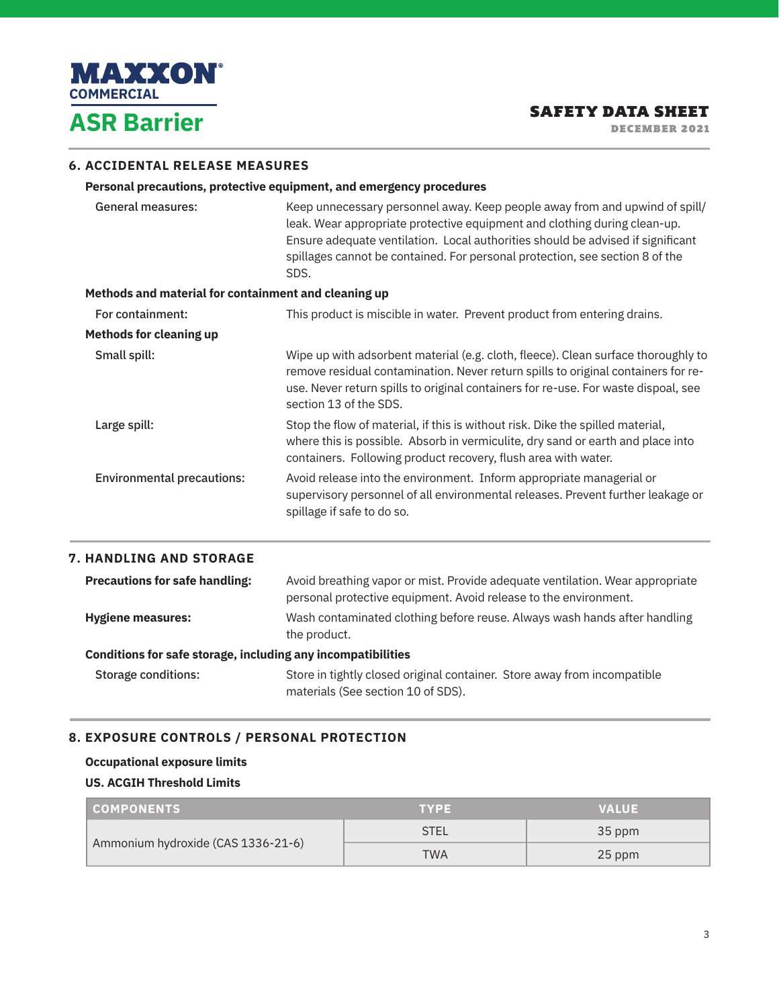

DECEMBER 2021

## **6. ACCIDENTAL RELEASE MEASURES**

#### **Personal precautions, protective equipment, and emergency procedures**

| <b>General measures:</b><br>Methods and material for containment and cleaning up | Keep unnecessary personnel away. Keep people away from and upwind of spill/<br>leak. Wear appropriate protective equipment and clothing during clean-up.<br>Ensure adequate ventilation. Local authorities should be advised if significant<br>spillages cannot be contained. For personal protection, see section 8 of the<br>SDS. |
|----------------------------------------------------------------------------------|-------------------------------------------------------------------------------------------------------------------------------------------------------------------------------------------------------------------------------------------------------------------------------------------------------------------------------------|
| For containment:                                                                 | This product is miscible in water. Prevent product from entering drains.                                                                                                                                                                                                                                                            |
| <b>Methods for cleaning up</b>                                                   |                                                                                                                                                                                                                                                                                                                                     |
| Small spill:                                                                     | Wipe up with adsorbent material (e.g. cloth, fleece). Clean surface thoroughly to<br>remove residual contamination. Never return spills to original containers for re-<br>use. Never return spills to original containers for re-use. For waste dispoal, see<br>section 13 of the SDS.                                              |
| Large spill:                                                                     | Stop the flow of material, if this is without risk. Dike the spilled material,<br>where this is possible. Absorb in vermiculite, dry sand or earth and place into<br>containers. Following product recovery, flush area with water.                                                                                                 |
| <b>Environmental precautions:</b>                                                | Avoid release into the environment. Inform appropriate managerial or<br>supervisory personnel of all environmental releases. Prevent further leakage or<br>spillage if safe to do so.                                                                                                                                               |
| <b>7. HANDLING AND STORAGE</b>                                                   |                                                                                                                                                                                                                                                                                                                                     |
| <b>Precautions for safe handling:</b>                                            | Avoid breathing vapor or mist. Provide adequate ventilation. Wear appropriate<br>personal protective equipment. Avoid release to the environment.                                                                                                                                                                                   |
| <b>Hygiene measures:</b>                                                         | Wash contaminated clothing before reuse. Always wash hands after handling                                                                                                                                                                                                                                                           |

# the product.

**Conditions for safe storage, including any incompatibilities**  Storage conditions: Store in tightly closed original container. Store away from incompatible materials (See section 10 of SDS).

## **8. EXPOSURE CONTROLS / PERSONAL PROTECTION**

## **Occupational exposure limits US. ACGIH Threshold Limits**

| <b>COMPONENTS</b>                  | <b>TYPE</b> | <b>VALUE</b> |
|------------------------------------|-------------|--------------|
| Ammonium hydroxide (CAS 1336-21-6) | <b>STEL</b> | 35 ppm       |
|                                    | <b>TWA</b>  | 25 ppm       |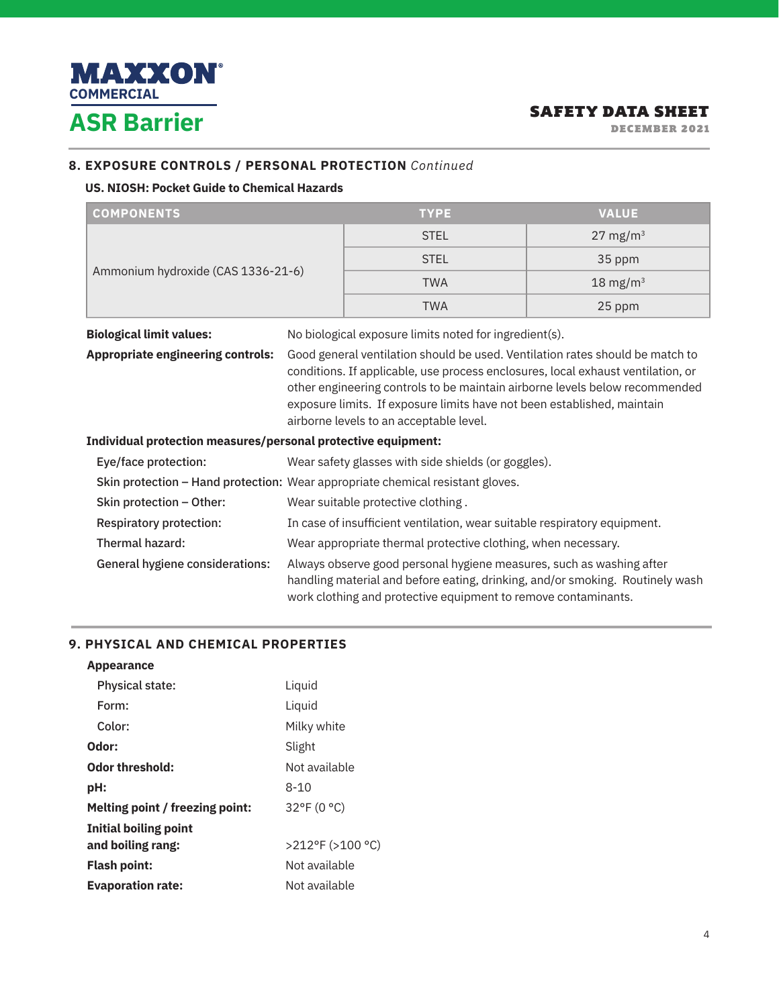

DECEMBER 2021

## **8. EXPOSURE CONTROLS / PERSONAL PROTECTION** *Continued*

## **US. NIOSH: Pocket Guide to Chemical Hazards**

| <b>COMPONENTS</b>                                                                                                                                                                                                                                                              | <b>TYPE</b> | <b>VALUE</b>        |
|--------------------------------------------------------------------------------------------------------------------------------------------------------------------------------------------------------------------------------------------------------------------------------|-------------|---------------------|
| Ammonium hydroxide (CAS 1336-21-6)                                                                                                                                                                                                                                             | <b>STEL</b> | $27 \text{ mg/m}^3$ |
|                                                                                                                                                                                                                                                                                | <b>STEL</b> | 35 ppm              |
|                                                                                                                                                                                                                                                                                | <b>TWA</b>  | $18 \text{ mg/m}^3$ |
|                                                                                                                                                                                                                                                                                | <b>TWA</b>  | 25 ppm              |
| <b>Mittel and and Historical Continues of</b><br>The contribution of the contract of the transfer of the contract of the control of the control of the control of the control of the control of the control of the control of the control of the control of the control of the |             |                     |

**Biological limit values:** No biological exposure limits noted for ingredient(s). **Appropriate engineering controls:** Good general ventilation should be used. Ventilation rates should be match to conditions. If applicable, use process enclosures, local exhaust ventilation, or other engineering controls to be maintain airborne levels below recommended exposure limits. If exposure limits have not been established, maintain airborne levels to an acceptable level.

## **Individual protection measures/personal protective equipment:**

| Eye/face protection:            | Wear safety glasses with side shields (or goggles).                                                                                                                                                                     |
|---------------------------------|-------------------------------------------------------------------------------------------------------------------------------------------------------------------------------------------------------------------------|
|                                 | Skin protection - Hand protection: Wear appropriate chemical resistant gloves.                                                                                                                                          |
| Skin protection – Other:        | Wear suitable protective clothing.                                                                                                                                                                                      |
| <b>Respiratory protection:</b>  | In case of insufficient ventilation, wear suitable respiratory equipment.                                                                                                                                               |
| Thermal hazard:                 | Wear appropriate thermal protective clothing, when necessary.                                                                                                                                                           |
| General hygiene considerations: | Always observe good personal hygiene measures, such as washing after<br>handling material and before eating, drinking, and/or smoking. Routinely wash<br>work clothing and protective equipment to remove contaminants. |

## **9. PHYSICAL AND CHEMICAL PROPERTIES**

| <b>Appearance</b>               |                  |
|---------------------------------|------------------|
| Physical state:                 | Liquid           |
| Form:                           | Liquid           |
| Color:                          | Milky white      |
| Odor:                           | Slight           |
| Odor threshold:                 | Not available    |
| pH:                             | $8 - 10$         |
| Melting point / freezing point: | 32°F (0 °C)      |
| <b>Initial boiling point</b>    |                  |
| and boiling rang:               | >212°F (>100 °C) |
| <b>Flash point:</b>             | Not available    |
| <b>Evaporation rate:</b>        | Not available    |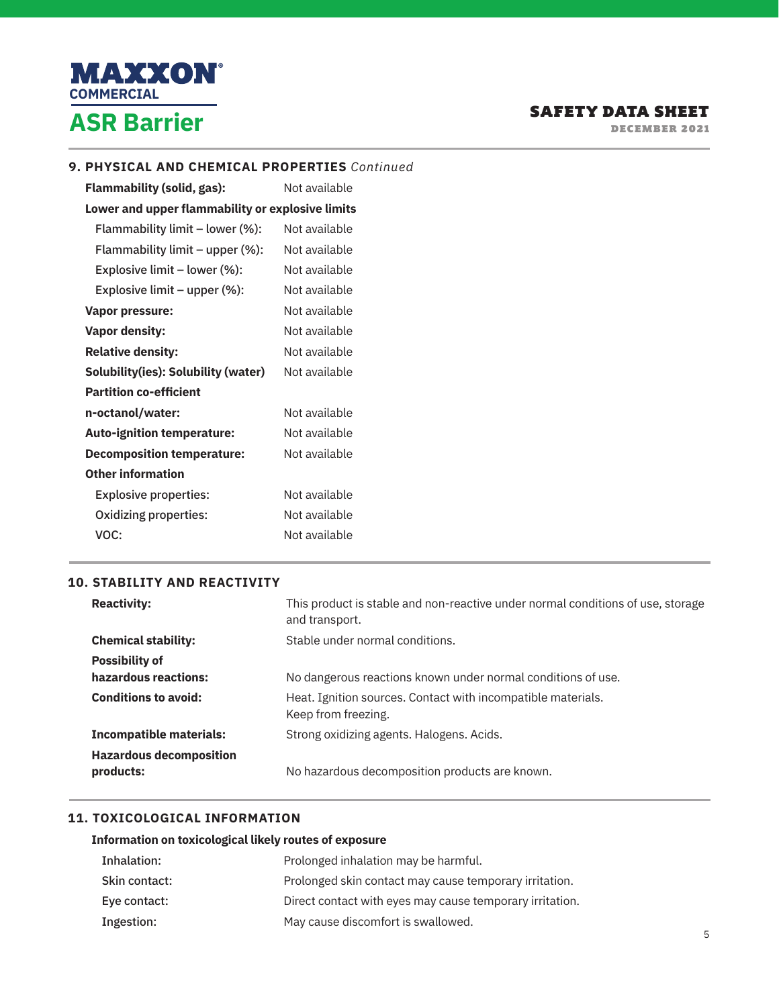

DECEMBER 2021

#### **9. PHYSICAL AND CHEMICAL PROPERTIES** *Continued*

**Flammability (solid, gas):** Not available **Lower and upper flammability or explosive limits** Flammability limit – lower (%): Not available Flammability limit – upper (%): Not available Explosive limit – lower (%): Not available Explosive limit – upper (%): Not available **Vapor pressure:** Not available **Vapor density:** Not available **Relative density:** Not available **Solubility(ies): Solubility (water)** Not available **Partition co-efficient n-octanol/water:** Not available Auto-ignition temperature: Not available **Decomposition temperature:** Not available **Other information**  Explosive properties: Not available Oxidizing properties: Not available VOC: Not available

## **10. STABILITY AND REACTIVITY**

| <b>Reactivity:</b>                          | This product is stable and non-reactive under normal conditions of use, storage<br>and transport. |
|---------------------------------------------|---------------------------------------------------------------------------------------------------|
| <b>Chemical stability:</b>                  | Stable under normal conditions.                                                                   |
| <b>Possibility of</b>                       |                                                                                                   |
| hazardous reactions:                        | No dangerous reactions known under normal conditions of use.                                      |
| <b>Conditions to avoid:</b>                 | Heat. Ignition sources. Contact with incompatible materials.<br>Keep from freezing.               |
| <b>Incompatible materials:</b>              | Strong oxidizing agents. Halogens. Acids.                                                         |
| <b>Hazardous decomposition</b><br>products: | No hazardous decomposition products are known.                                                    |

## **11. TOXICOLOGICAL INFORMATION**

#### **Information on toxicological likely routes of exposure**

| Inhalation:   | Prolonged inhalation may be harmful.                     |
|---------------|----------------------------------------------------------|
| Skin contact: | Prolonged skin contact may cause temporary irritation.   |
| Eye contact:  | Direct contact with eyes may cause temporary irritation. |
| Ingestion:    | May cause discomfort is swallowed.                       |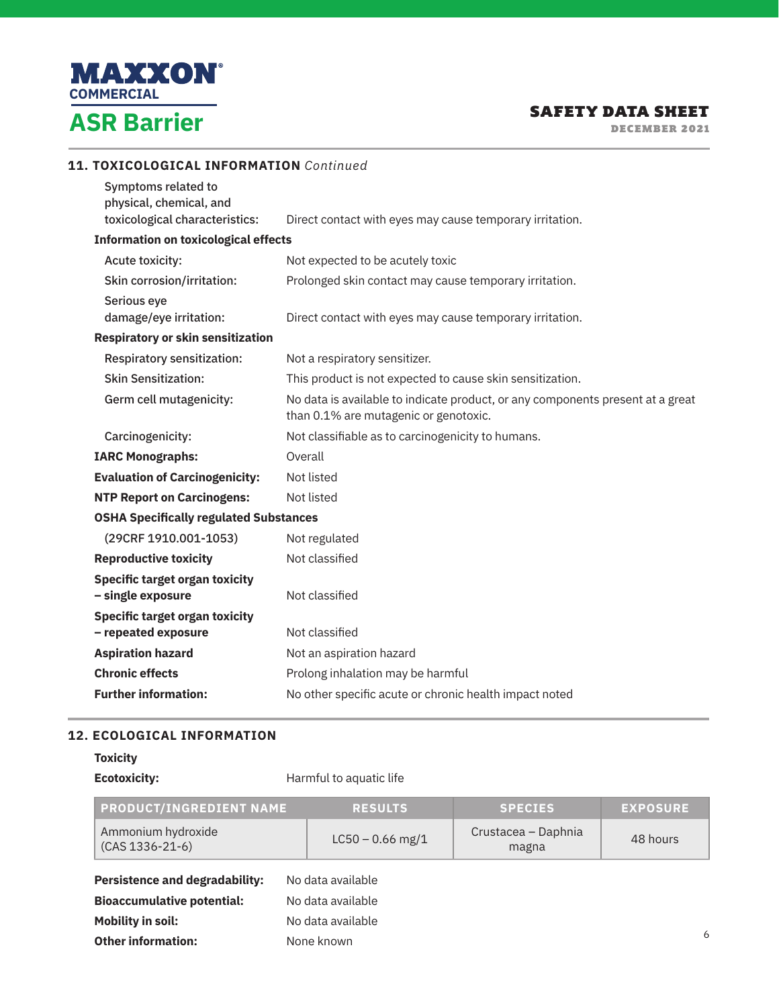

**11. TOXICOLOGICAL INFORMATION** *Continued*

## SAFETY DATA SHEET

DECEMBER 2021

| Symptoms related to<br>physical, chemical, and             |                                                                                                                         |
|------------------------------------------------------------|-------------------------------------------------------------------------------------------------------------------------|
| toxicological characteristics:                             | Direct contact with eyes may cause temporary irritation.                                                                |
| <b>Information on toxicological effects</b>                |                                                                                                                         |
| Acute toxicity:                                            | Not expected to be acutely toxic                                                                                        |
| Skin corrosion/irritation:                                 | Prolonged skin contact may cause temporary irritation.                                                                  |
| Serious eye                                                |                                                                                                                         |
| damage/eye irritation:                                     | Direct contact with eyes may cause temporary irritation.                                                                |
| <b>Respiratory or skin sensitization</b>                   |                                                                                                                         |
| Respiratory sensitization:                                 | Not a respiratory sensitizer.                                                                                           |
| <b>Skin Sensitization:</b>                                 | This product is not expected to cause skin sensitization.                                                               |
| Germ cell mutagenicity:                                    | No data is available to indicate product, or any components present at a great<br>than 0.1% are mutagenic or genotoxic. |
| Carcinogenicity:                                           | Not classifiable as to carcinogenicity to humans.                                                                       |
| <b>IARC Monographs:</b>                                    | Overall                                                                                                                 |
| <b>Evaluation of Carcinogenicity:</b>                      | Not listed                                                                                                              |
| <b>NTP Report on Carcinogens:</b>                          | Not listed                                                                                                              |
| <b>OSHA Specifically regulated Substances</b>              |                                                                                                                         |
| (29CRF 1910.001-1053)                                      | Not regulated                                                                                                           |
| <b>Reproductive toxicity</b>                               | Not classified                                                                                                          |
| <b>Specific target organ toxicity</b><br>- single exposure | Not classified                                                                                                          |
| <b>Specific target organ toxicity</b>                      |                                                                                                                         |
| - repeated exposure                                        | Not classified                                                                                                          |
| <b>Aspiration hazard</b>                                   | Not an aspiration hazard                                                                                                |
| <b>Chronic effects</b>                                     | Prolong inhalation may be harmful                                                                                       |
| <b>Further information:</b>                                | No other specific acute or chronic health impact noted                                                                  |

## **12. ECOLOGICAL INFORMATION**

**Other information:** None known

## **Toxicity**

**Ecotoxicity: Harmful to aquatic life** 

| <b>PRODUCT/INGREDIENT NAME</b>                         |  | <b>RESULTS</b>     | <b>SPECIES</b>               | <b>EXPOSURE</b> |
|--------------------------------------------------------|--|--------------------|------------------------------|-----------------|
| Ammonium hydroxide<br>$(CAS 1336 - 21 - 6)$            |  | $LC50 - 0.66$ mg/1 | Crustacea – Daphnia<br>magna | 48 hours        |
| <b>Persistence and degradability:</b>                  |  | No data available  |                              |                 |
| <b>Bioaccumulative potential:</b><br>No data available |  |                    |                              |                 |
| Mobility in soil:<br>No data available                 |  |                    |                              |                 |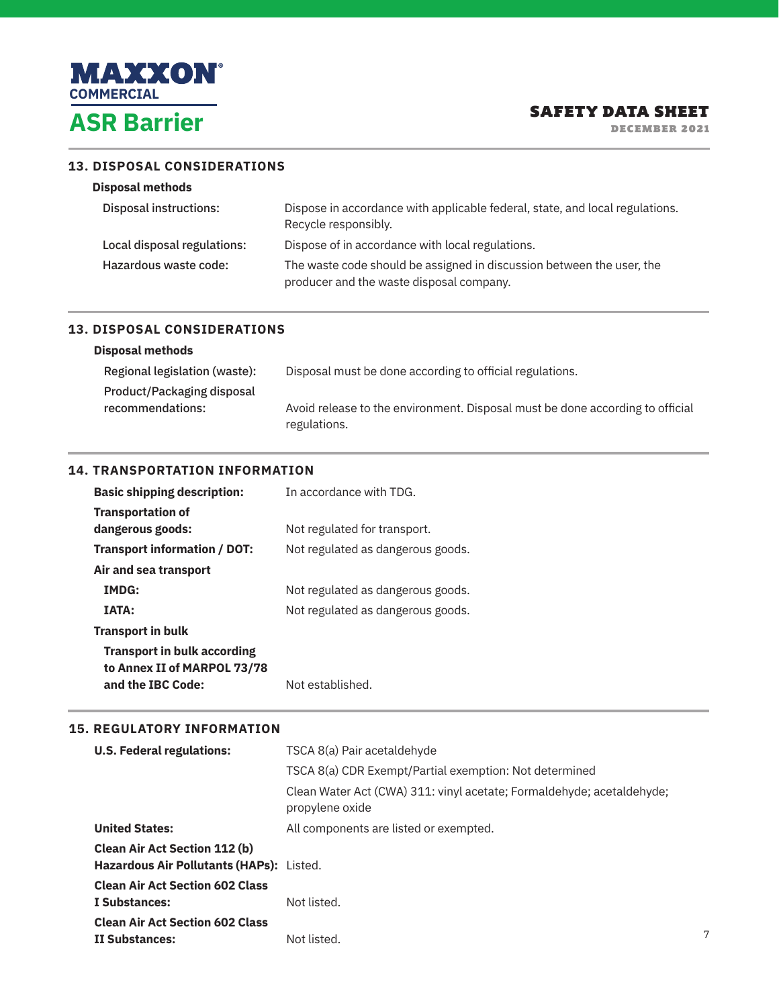

DECEMBER 2021

#### **13. DISPOSAL CONSIDERATIONS**

|  | <b>Disposal methods</b> |
|--|-------------------------|
|--|-------------------------|

| Disposal instructions:      | Dispose in accordance with applicable federal, state, and local regulations.<br>Recycle responsibly.              |
|-----------------------------|-------------------------------------------------------------------------------------------------------------------|
| Local disposal regulations: | Dispose of in accordance with local regulations.                                                                  |
| Hazardous waste code:       | The waste code should be assigned in discussion between the user, the<br>producer and the waste disposal company. |

## **13. DISPOSAL CONSIDERATIONS**

#### **Disposal methods**

| Regional legislation (waste): | Disposal must be done according to official regulations.                      |
|-------------------------------|-------------------------------------------------------------------------------|
| Product/Packaging disposal    |                                                                               |
| recommendations:              | Avoid release to the environment. Disposal must be done according to official |
|                               | regulations.                                                                  |

## **14. TRANSPORTATION INFORMATION**

| <b>Basic shipping description:</b>                                | In accordance with TDG.           |
|-------------------------------------------------------------------|-----------------------------------|
| <b>Transportation of</b>                                          |                                   |
| dangerous goods:                                                  | Not regulated for transport.      |
| Transport information / DOT:                                      | Not regulated as dangerous goods. |
| Air and sea transport                                             |                                   |
| <b>IMDG:</b>                                                      | Not regulated as dangerous goods. |
| <b>IATA:</b>                                                      | Not regulated as dangerous goods. |
| <b>Transport in bulk</b>                                          |                                   |
| <b>Transport in bulk according</b><br>to Annex II of MARPOL 73/78 |                                   |
| and the IBC Code:                                                 | Not established.                  |

#### **15. REGULATORY INFORMATION**

| <b>U.S. Federal regulations:</b>                                                 | TSCA 8(a) Pair acetaldehyde                                                              |
|----------------------------------------------------------------------------------|------------------------------------------------------------------------------------------|
|                                                                                  | TSCA 8(a) CDR Exempt/Partial exemption: Not determined                                   |
|                                                                                  | Clean Water Act (CWA) 311: vinyl acetate; Formaldehyde; acetaldehyde;<br>propylene oxide |
| <b>United States:</b>                                                            | All components are listed or exempted.                                                   |
| <b>Clean Air Act Section 112 (b)</b><br>Hazardous Air Pollutants (HAPs): Listed. |                                                                                          |
| <b>Clean Air Act Section 602 Class</b><br>I Substances:                          | Not listed.                                                                              |
| <b>Clean Air Act Section 602 Class</b><br>II Substances:                         | Not listed.                                                                              |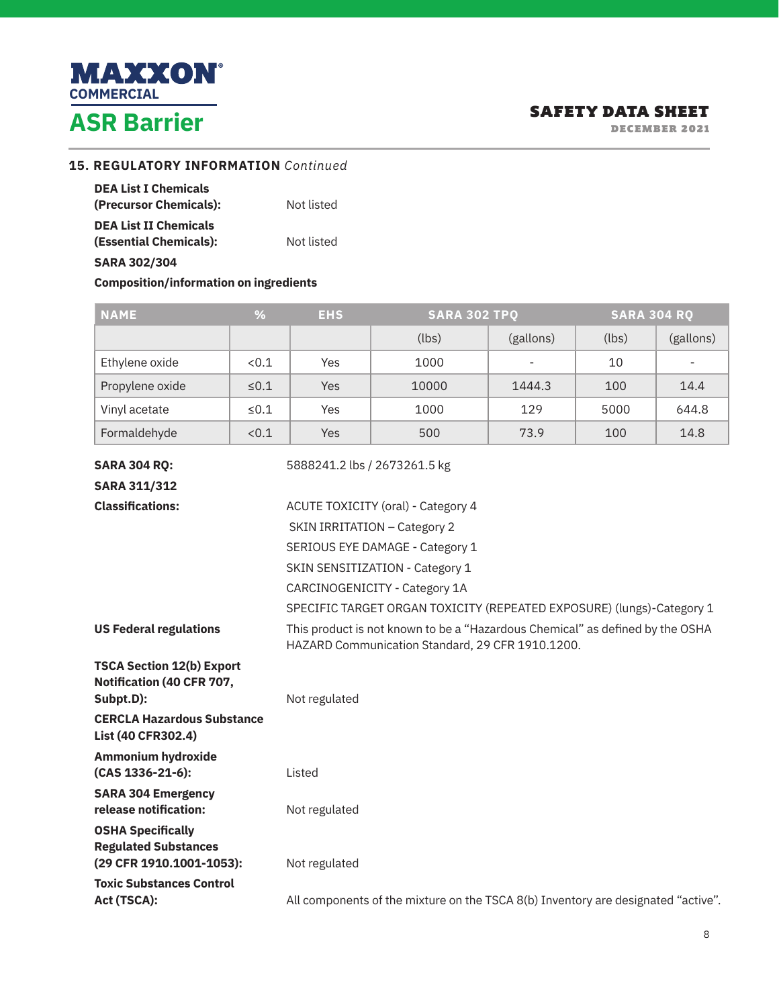

**Contract Contract** 

DECEMBER 2021

#### **15. REGULATORY INFORMATION** *Continued*

| <b>DEA List I Chemicals</b>  |            |
|------------------------------|------------|
| (Precursor Chemicals):       | Not listed |
| <b>DEA List II Chemicals</b> |            |
| (Essential Chemicals):       | Not listed |
| <b>SARA 302/304</b>          |            |

**Composition/information on ingredients**

| <b>NAME</b>                                                                         | %          | <b>EHS</b>    | <b>SARA 302 TPQ</b>                                                                                                               |           | <b>SARA 304 RQ</b> |                          |
|-------------------------------------------------------------------------------------|------------|---------------|-----------------------------------------------------------------------------------------------------------------------------------|-----------|--------------------|--------------------------|
|                                                                                     |            |               | (lbs)                                                                                                                             | (gallons) | (lbs)              | (gallons)                |
| Ethylene oxide                                                                      | < 0.1      | Yes           | 1000                                                                                                                              |           | 10                 | $\overline{\phantom{0}}$ |
| Propylene oxide                                                                     | $\leq 0.1$ | Yes           | 10000                                                                                                                             | 1444.3    | 100                | 14.4                     |
| Vinyl acetate                                                                       | $≤0.1$     | Yes           | 1000                                                                                                                              | 129       | 5000               | 644.8                    |
| Formaldehyde                                                                        | < 0.1      | <b>Yes</b>    | 500                                                                                                                               | 73.9      | 100                | 14.8                     |
| <b>SARA 304 RQ:</b>                                                                 |            |               | 5888241.2 lbs / 2673261.5 kg                                                                                                      |           |                    |                          |
| <b>SARA 311/312</b>                                                                 |            |               |                                                                                                                                   |           |                    |                          |
| <b>Classifications:</b>                                                             |            |               | ACUTE TOXICITY (oral) - Category 4                                                                                                |           |                    |                          |
|                                                                                     |            |               | SKIN IRRITATION - Category 2                                                                                                      |           |                    |                          |
|                                                                                     |            |               | SERIOUS EYE DAMAGE - Category 1                                                                                                   |           |                    |                          |
|                                                                                     |            |               | SKIN SENSITIZATION - Category 1                                                                                                   |           |                    |                          |
|                                                                                     |            |               | CARCINOGENICITY - Category 1A                                                                                                     |           |                    |                          |
|                                                                                     |            |               | SPECIFIC TARGET ORGAN TOXICITY (REPEATED EXPOSURE) (lungs)-Category 1                                                             |           |                    |                          |
| <b>US Federal regulations</b>                                                       |            |               | This product is not known to be a "Hazardous Chemical" as defined by the OSHA<br>HAZARD Communication Standard, 29 CFR 1910.1200. |           |                    |                          |
| <b>TSCA Section 12(b) Export</b>                                                    |            |               |                                                                                                                                   |           |                    |                          |
| Notification (40 CFR 707,<br>Subpt.D):                                              |            | Not regulated |                                                                                                                                   |           |                    |                          |
| <b>CERCLA Hazardous Substance</b><br>List (40 CFR302.4)                             |            |               |                                                                                                                                   |           |                    |                          |
| <b>Ammonium hydroxide</b><br>(CAS 1336-21-6):                                       |            | Listed        |                                                                                                                                   |           |                    |                          |
| <b>SARA 304 Emergency</b><br>release notification:                                  |            | Not regulated |                                                                                                                                   |           |                    |                          |
| <b>OSHA Specifically</b><br><b>Regulated Substances</b><br>(29 CFR 1910.1001-1053): |            | Not regulated |                                                                                                                                   |           |                    |                          |
| <b>Toxic Substances Control</b><br>Act (TSCA):                                      |            |               | All components of the mixture on the TSCA 8(b) Inventory are designated "active".                                                 |           |                    |                          |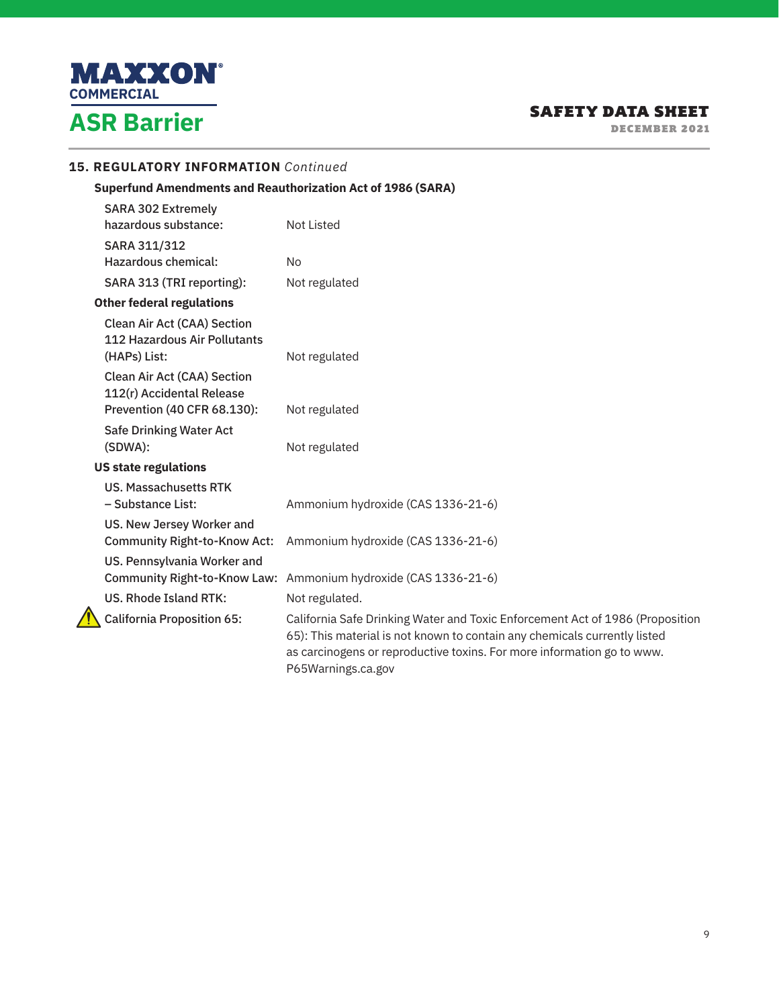

DECEMBER 2021

## **15. REGULATORY INFORMATION** *Continued*

**Superfund Amendments and Reauthorization Act of 1986 (SARA)**

| <b>SARA 302 Extremely</b><br>hazardous substance:                                              | <b>Not Listed</b>                                                                                                                                                                                                                                          |
|------------------------------------------------------------------------------------------------|------------------------------------------------------------------------------------------------------------------------------------------------------------------------------------------------------------------------------------------------------------|
| SARA 311/312                                                                                   |                                                                                                                                                                                                                                                            |
| Hazardous chemical:                                                                            | No.                                                                                                                                                                                                                                                        |
| SARA 313 (TRI reporting):                                                                      | Not regulated                                                                                                                                                                                                                                              |
| <b>Other federal regulations</b>                                                               |                                                                                                                                                                                                                                                            |
| <b>Clean Air Act (CAA) Section</b><br>112 Hazardous Air Pollutants<br>(HAPs) List:             | Not regulated                                                                                                                                                                                                                                              |
| <b>Clean Air Act (CAA) Section</b><br>112(r) Accidental Release<br>Prevention (40 CFR 68.130): | Not regulated                                                                                                                                                                                                                                              |
| <b>Safe Drinking Water Act</b><br>(SDWA):                                                      | Not regulated                                                                                                                                                                                                                                              |
| <b>US state regulations</b>                                                                    |                                                                                                                                                                                                                                                            |
| <b>US. Massachusetts RTK</b><br>- Substance List:                                              | Ammonium hydroxide (CAS 1336-21-6)                                                                                                                                                                                                                         |
| US. New Jersey Worker and<br><b>Community Right-to-Know Act:</b>                               | Ammonium hydroxide (CAS 1336-21-6)                                                                                                                                                                                                                         |
| US. Pennsylvania Worker and<br><b>Community Right-to-Know Law:</b>                             | Ammonium hydroxide (CAS 1336-21-6)                                                                                                                                                                                                                         |
| <b>US. Rhode Island RTK:</b>                                                                   | Not regulated.                                                                                                                                                                                                                                             |
| <b>California Proposition 65:</b>                                                              | California Safe Drinking Water and Toxic Enforcement Act of 1986 (Proposition<br>65): This material is not known to contain any chemicals currently listed<br>as carcinogens or reproductive toxins. For more information go to www.<br>P65Warnings.ca.gov |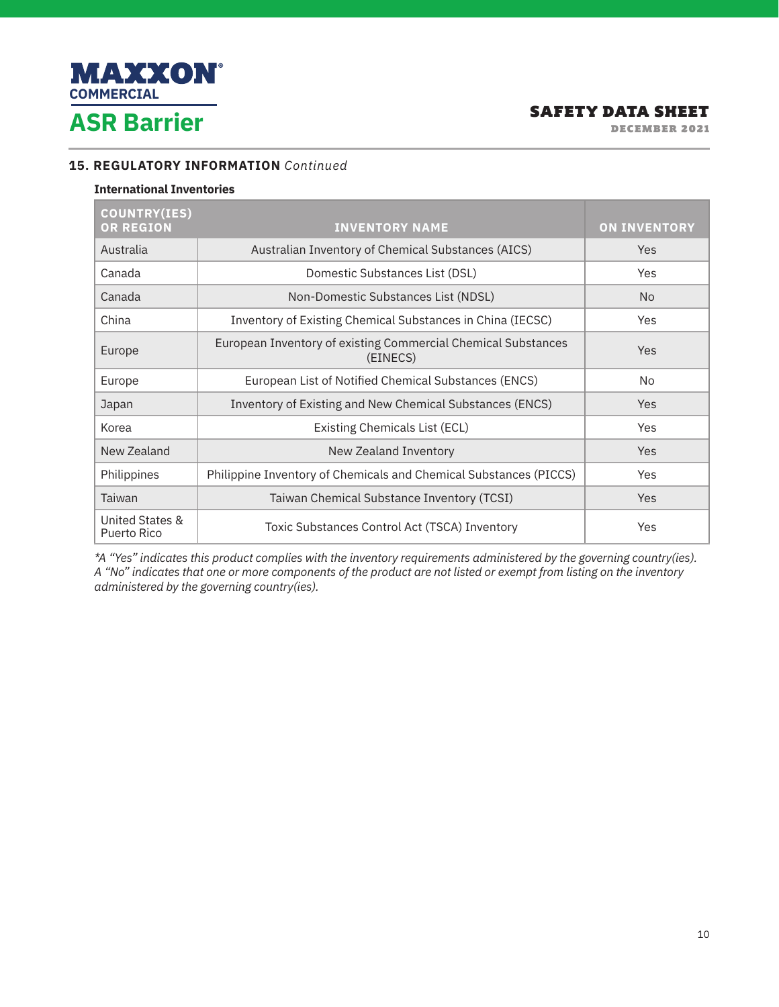

DECEMBER 2021

## **15. REGULATORY INFORMATION** *Continued*

#### **International Inventories**

| <b>COUNTRY(IES)</b><br><b>OR REGION</b> | <b>INVENTORY NAME</b>                                                     | <b>ON INVENTORY</b> |
|-----------------------------------------|---------------------------------------------------------------------------|---------------------|
| Australia                               | Australian Inventory of Chemical Substances (AICS)                        | <b>Yes</b>          |
| Canada                                  | Domestic Substances List (DSL)                                            | <b>Yes</b>          |
| Canada                                  | Non-Domestic Substances List (NDSL)                                       | N <sub>o</sub>      |
| China                                   | Inventory of Existing Chemical Substances in China (IECSC)                | Yes                 |
| Europe                                  | European Inventory of existing Commercial Chemical Substances<br>(EINECS) | <b>Yes</b>          |
| Europe                                  | European List of Notified Chemical Substances (ENCS)                      | No.                 |
| Japan                                   | Inventory of Existing and New Chemical Substances (ENCS)                  | Yes                 |
| Korea                                   | Existing Chemicals List (ECL)                                             | Yes                 |
| New Zealand                             | New Zealand Inventory                                                     | Yes                 |
| Philippines                             | Philippine Inventory of Chemicals and Chemical Substances (PICCS)         | Yes                 |
| Taiwan                                  | Taiwan Chemical Substance Inventory (TCSI)                                | Yes                 |
| United States &<br>Puerto Rico          | Toxic Substances Control Act (TSCA) Inventory                             | Yes                 |

*\*A "Yes" indicates this product complies with the inventory requirements administered by the governing country(ies). A "No" indicates that one or more components of the product are not listed or exempt from listing on the inventory administered by the governing country(ies).*